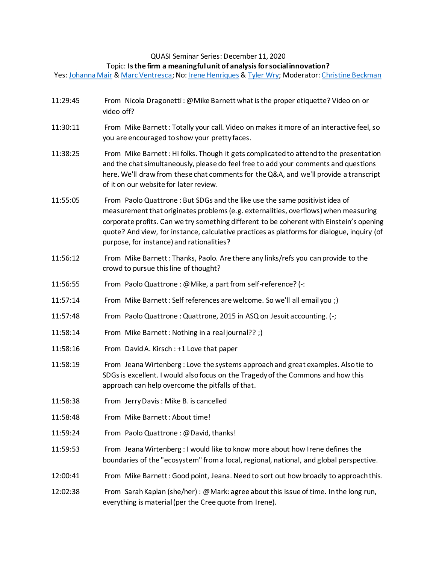## QUASI Seminar Series: December 11, 2020

## Topic: **Is the firm a meaningful unit of analysis for social innovation?**

Yes[: Johanna Mair](https://www.johannamair.com/about%20me.html) & [Marc Ventresca;](https://www.sbs.ox.ac.uk/about-us/people/marc-ventresca) No: [Irene Henriques](https://schulich.yorku.ca/faculty/irene-henriques/) & [Tyler Wry;](https://mgmt.wharton.upenn.edu/profile/twry/) Moderator: [Christine Beckman](https://priceschool.usc.edu/people/christine-m-beckman/)

| 11:29:45 | From Nicola Dragonetti: @ Mike Barnett what is the proper etiquette? Video on or<br>video off?                                                                                                                                                                                                                                                                                                             |
|----------|------------------------------------------------------------------------------------------------------------------------------------------------------------------------------------------------------------------------------------------------------------------------------------------------------------------------------------------------------------------------------------------------------------|
| 11:30:11 | From Mike Barnett: Totally your call. Video on makes it more of an interactive feel, so<br>you are encouraged to show your pretty faces.                                                                                                                                                                                                                                                                   |
| 11:38:25 | From Mike Barnett: Hi folks. Though it gets complicated to attend to the presentation<br>and the chat simultaneously, please do feel free to add your comments and questions<br>here. We'll draw from these chat comments for the Q&A, and we'll provide a transcript<br>of it on our website for later review.                                                                                            |
| 11:55:05 | From Paolo Quattrone: But SDGs and the like use the same positivist idea of<br>measurement that originates problems (e.g. externalities, overflows) when measuring<br>corporate profits. Can we try something different to be coherent with Einstein's opening<br>quote? And view, for instance, calculative practices as platforms for dialogue, inquiry (of<br>purpose, for instance) and rationalities? |
| 11:56:12 | From Mike Barnett: Thanks, Paolo. Are there any links/refs you can provide to the<br>crowd to pursue this line of thought?                                                                                                                                                                                                                                                                                 |
| 11:56:55 | From Paolo Quattrone : @ Mike, a part from self-reference? (-:                                                                                                                                                                                                                                                                                                                                             |
| 11:57:14 | From Mike Barnett: Self references are welcome. So we'll all email you ;)                                                                                                                                                                                                                                                                                                                                  |
| 11:57:48 | From Paolo Quattrone: Quattrone, 2015 in ASQ on Jesuit accounting. (-;                                                                                                                                                                                                                                                                                                                                     |
| 11:58:14 | From Mike Barnett: Nothing in a real journal?? ;)                                                                                                                                                                                                                                                                                                                                                          |
| 11:58:16 | From David A. Kirsch: +1 Love that paper                                                                                                                                                                                                                                                                                                                                                                   |
| 11:58:19 | From Jeana Wirtenberg: Love the systems approach and great examples. Also tie to<br>SDGs is excellent. I would also focus on the Tragedy of the Commons and how this<br>approach can help overcome the pitfalls of that.                                                                                                                                                                                   |
| 11:58:38 | From Jerry Davis: Mike B. is cancelled                                                                                                                                                                                                                                                                                                                                                                     |
| 11:58:48 | From Mike Barnett: About time!                                                                                                                                                                                                                                                                                                                                                                             |
| 11:59:24 | From Paolo Quattrone : @David, thanks!                                                                                                                                                                                                                                                                                                                                                                     |
| 11:59:53 | From Jeana Wirtenberg : I would like to know more about how Irene defines the<br>boundaries of the "ecosystem" from a local, regional, national, and global perspective.                                                                                                                                                                                                                                   |
| 12:00:41 | From Mike Barnett: Good point, Jeana. Need to sort out how broadly to approach this.                                                                                                                                                                                                                                                                                                                       |
| 12:02:38 | From Sarah Kaplan (she/her) : @Mark: agree about this issue of time. In the long run,<br>everything is material (per the Cree quote from Irene).                                                                                                                                                                                                                                                           |
|          |                                                                                                                                                                                                                                                                                                                                                                                                            |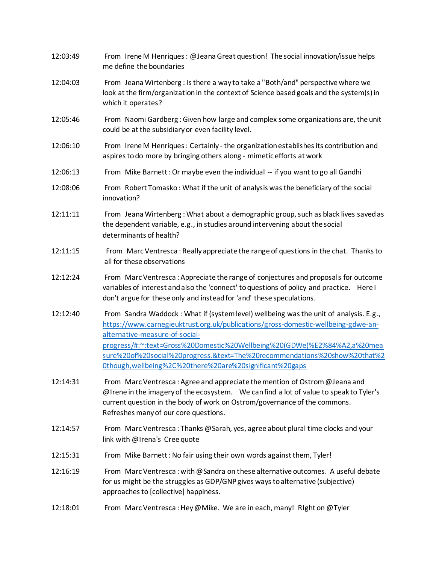| 12:03:49 | From Irene M Henriques: @Jeana Great question! The social innovation/issue helps<br>me define the boundaries                                                                                                                                                                                                                                                                                                                      |
|----------|-----------------------------------------------------------------------------------------------------------------------------------------------------------------------------------------------------------------------------------------------------------------------------------------------------------------------------------------------------------------------------------------------------------------------------------|
| 12:04:03 | From Jeana Wirtenberg: Is there a way to take a "Both/and" perspective where we<br>look at the firm/organization in the context of Science based goals and the system(s) in<br>which it operates?                                                                                                                                                                                                                                 |
| 12:05:46 | From Naomi Gardberg: Given how large and complex some organizations are, the unit<br>could be at the subsidiary or even facility level.                                                                                                                                                                                                                                                                                           |
| 12:06:10 | From Irene M Henriques: Certainly - the organization establishes its contribution and<br>aspires to do more by bringing others along - mimetic efforts at work                                                                                                                                                                                                                                                                    |
| 12:06:13 | From Mike Barnett: Or maybe even the individual -- if you want to go all Gandhi                                                                                                                                                                                                                                                                                                                                                   |
| 12:08:06 | From Robert Tomasko: What if the unit of analysis was the beneficiary of the social<br>innovation?                                                                                                                                                                                                                                                                                                                                |
| 12:11:11 | From Jeana Wirtenberg: What about a demographic group, such as black lives saved as<br>the dependent variable, e.g., in studies around intervening about the social<br>determinants of health?                                                                                                                                                                                                                                    |
| 12:11:15 | From Marc Ventresca: Really appreciate the range of questions in the chat. Thanks to<br>all for these observations                                                                                                                                                                                                                                                                                                                |
| 12:12:24 | From Marc Ventresca: Appreciate the range of conjectures and proposals for outcome<br>variables of interest and also the 'connect' to questions of policy and practice. Here I<br>don't argue for these only and instead for 'and' these speculations.                                                                                                                                                                            |
| 12:12:40 | From Sandra Waddock: What if (system level) wellbeing was the unit of analysis. E.g.,<br>https://www.carnegieuktrust.org.uk/publications/gross-domestic-wellbeing-gdwe-an-<br>alternative-measure-of-social-<br>progress/#:~:text=Gross%20Domestic%20Wellbeing%20(GDWe)%E2%84%A2,a%20mea<br>sure%20of%20social%20progress.&text=The%20recommendations%20show%20that%2<br>Othough, wellbeing%2C%20there%20are%20significant%20gaps |
| 12:14:31 | From Marc Ventresca: Agree and appreciate the mention of Ostrom @Jeana and<br>@Irene in the imagery of the ecosystem. We can find a lot of value to speak to Tyler's<br>current question in the body of work on Ostrom/governance of the commons.<br>Refreshes many of our core questions.                                                                                                                                        |
| 12:14:57 | From Marc Ventresca: Thanks @Sarah, yes, agree about plural time clocks and your<br>link with @Irena's Cree quote                                                                                                                                                                                                                                                                                                                 |
| 12:15:31 | From Mike Barnett: No fair using their own words against them, Tyler!                                                                                                                                                                                                                                                                                                                                                             |
| 12:16:19 | From Marc Ventresca: with @Sandra on these alternative outcomes. A useful debate<br>for us might be the struggles as GDP/GNP gives ways to alternative (subjective)<br>approaches to [collective] happiness.                                                                                                                                                                                                                      |
| 12:18:01 | From Marc Ventresca: Hey @ Mike. We are in each, many! RIght on @ Tyler                                                                                                                                                                                                                                                                                                                                                           |
|          |                                                                                                                                                                                                                                                                                                                                                                                                                                   |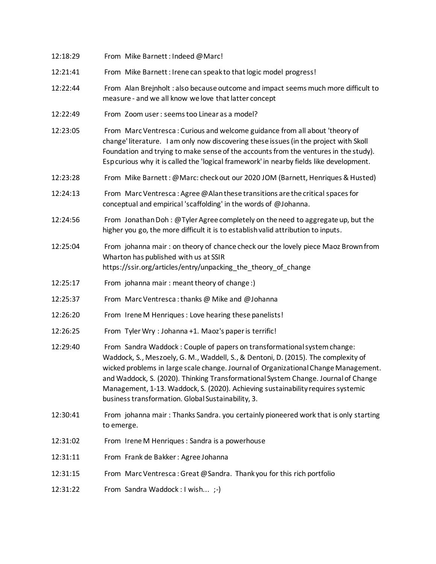| 12:18:29 | From Mike Barnett: Indeed @Marc!                                                                                                                                                                                                                                                                                                                                                                          |
|----------|-----------------------------------------------------------------------------------------------------------------------------------------------------------------------------------------------------------------------------------------------------------------------------------------------------------------------------------------------------------------------------------------------------------|
| 12:21:41 | From Mike Barnett: Irene can speak to that logic model progress!                                                                                                                                                                                                                                                                                                                                          |
| 12:22:44 | From Alan Brejnholt: also because outcome and impact seems much more difficult to<br>measure - and we all know we love that latter concept                                                                                                                                                                                                                                                                |
| 12:22:49 | From Zoom user: seems too Linear as a model?                                                                                                                                                                                                                                                                                                                                                              |
| 12:23:05 | From Marc Ventresca: Curious and welcome guidance from all about 'theory of<br>change' literature. I am only now discovering these issues (in the project with Skoll<br>Foundation and trying to make sense of the accounts from the ventures in the study).<br>Esp curious why it is called the 'logical framework' in nearby fields like development.                                                   |
| 12:23:28 | From Mike Barnett: @Marc: check out our 2020 JOM (Barnett, Henriques & Husted)                                                                                                                                                                                                                                                                                                                            |
| 12:24:13 | From Marc Ventresca: Agree @ Alan these transitions are the critical spaces for<br>conceptual and empirical 'scaffolding' in the words of @Johanna.                                                                                                                                                                                                                                                       |
| 12:24:56 | From Jonathan Doh: @Tyler Agree completely on the need to aggregate up, but the<br>higher you go, the more difficult it is to establish valid attribution to inputs.                                                                                                                                                                                                                                      |
| 12:25:04 | From johanna mair: on theory of chance check our the lovely piece Maoz Brown from<br>Wharton has published with us at SSIR<br>https://ssir.org/articles/entry/unpacking_the_theory_of_change                                                                                                                                                                                                              |
| 12:25:17 | From johanna mair: meant theory of change:)                                                                                                                                                                                                                                                                                                                                                               |
| 12:25:37 | From Marc Ventresca: thanks @ Mike and @ Johanna                                                                                                                                                                                                                                                                                                                                                          |
| 12:26:20 | From Irene M Henriques: Love hearing these panelists!                                                                                                                                                                                                                                                                                                                                                     |
| 12:26:25 | From Tyler Wry: Johanna +1. Maoz's paper is terrific!                                                                                                                                                                                                                                                                                                                                                     |
| 12:29:40 | From Sandra Waddock: Couple of papers on transformational system change:                                                                                                                                                                                                                                                                                                                                  |
|          | Waddock, S., Meszoely, G. M., Waddell, S., & Dentoni, D. (2015). The complexity of<br>wicked problems in large scale change. Journal of Organizational Change Management.<br>and Waddock, S. (2020). Thinking Transformational System Change. Journal of Change<br>Management, 1-13. Waddock, S. (2020). Achieving sustainability requires systemic<br>business transformation. Global Sustainability, 3. |
| 12:30:41 | From johanna mair: Thanks Sandra. you certainly pioneered work that is only starting<br>to emerge.                                                                                                                                                                                                                                                                                                        |
| 12:31:02 | From Irene M Henriques : Sandra is a powerhouse                                                                                                                                                                                                                                                                                                                                                           |
| 12:31:11 | From Frank de Bakker: Agree Johanna                                                                                                                                                                                                                                                                                                                                                                       |
| 12:31:15 | From Marc Ventresca: Great @Sandra. Thank you for this rich portfolio                                                                                                                                                                                                                                                                                                                                     |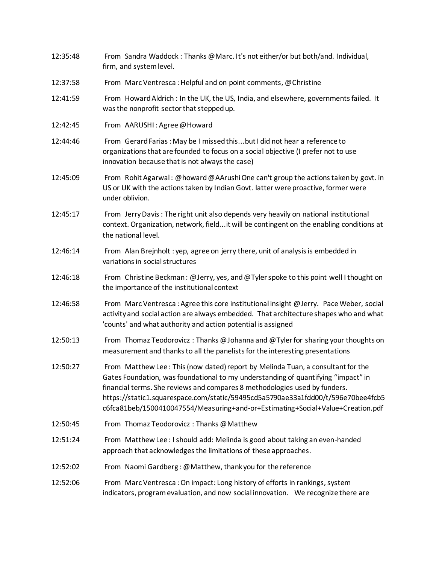| 12:35:48 | From Sandra Waddock: Thanks @ Marc. It's not either/or but both/and. Individual,<br>firm, and system level.                                                                                                                                                                                                                                                                                                              |
|----------|--------------------------------------------------------------------------------------------------------------------------------------------------------------------------------------------------------------------------------------------------------------------------------------------------------------------------------------------------------------------------------------------------------------------------|
| 12:37:58 | From Marc Ventresca: Helpful and on point comments, @Christine                                                                                                                                                                                                                                                                                                                                                           |
| 12:41:59 | From Howard Aldrich : In the UK, the US, India, and elsewhere, governments failed. It<br>was the nonprofit sector that stepped up.                                                                                                                                                                                                                                                                                       |
| 12:42:45 | From AARUSHI: Agree @Howard                                                                                                                                                                                                                                                                                                                                                                                              |
| 12:44:46 | From Gerard Farias: May be I missed thisbut I did not hear a reference to<br>organizations that are founded to focus on a social objective (I prefer not to use<br>innovation because that is not always the case)                                                                                                                                                                                                       |
| 12:45:09 | From Rohit Agarwal: @howard @AArushi One can't group the actions taken by govt. in<br>US or UK with the actions taken by Indian Govt. latter were proactive, former were<br>under oblivion.                                                                                                                                                                                                                              |
| 12:45:17 | From Jerry Davis: The right unit also depends very heavily on national institutional<br>context. Organization, network, fieldit will be contingent on the enabling conditions at<br>the national level.                                                                                                                                                                                                                  |
| 12:46:14 | From Alan Brejnholt: yep, agree on jerry there, unit of analysis is embedded in<br>variations in social structures                                                                                                                                                                                                                                                                                                       |
| 12:46:18 | From Christine Beckman: @Jerry, yes, and @Tyler spoke to this point well I thought on<br>the importance of the institutional context                                                                                                                                                                                                                                                                                     |
| 12:46:58 | From Marc Ventresca: Agree this core institutional insight @Jerry. Pace Weber, social<br>activity and social action are always embedded. That architecture shapes who and what<br>'counts' and what authority and action potential is assigned                                                                                                                                                                           |
| 12:50:13 | From Thomaz Teodorovicz: Thanks @ Johanna and @ Tyler for sharing your thoughts on<br>measurement and thanks to all the panelists for the interesting presentations                                                                                                                                                                                                                                                      |
| 12:50:27 | From Matthew Lee: This (now dated) report by Melinda Tuan, a consultant for the<br>Gates Foundation, was foundational to my understanding of quantifying "impact" in<br>financial terms. She reviews and compares 8 methodologies used by funders.<br>https://static1.squarespace.com/static/59495cd5a5790ae33a1fdd00/t/596e70bee4fcb5<br>c6fca81beb/1500410047554/Measuring+and-or+Estimating+Social+Value+Creation.pdf |
| 12:50:45 | From Thomaz Teodorovicz: Thanks @Matthew                                                                                                                                                                                                                                                                                                                                                                                 |
| 12:51:24 | From Matthew Lee: I should add: Melinda is good about taking an even-handed<br>approach that acknowledges the limitations of these approaches.                                                                                                                                                                                                                                                                           |
| 12:52:02 | From Naomi Gardberg: @Matthew, thank you for the reference                                                                                                                                                                                                                                                                                                                                                               |
| 12:52:06 | From Marc Ventresca: On impact: Long history of efforts in rankings, system<br>indicators, program evaluation, and now social innovation.  We recognize there are                                                                                                                                                                                                                                                        |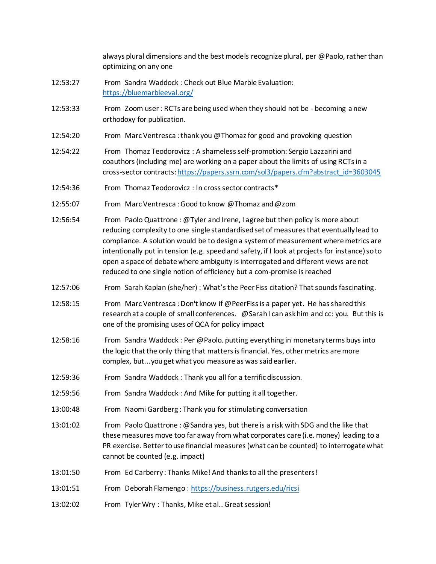|          | always plural dimensions and the best models recognize plural, per @Paolo, rather than<br>optimizing on any one                                                                                                                                                                                                                                                                                                                                                                                                                   |
|----------|-----------------------------------------------------------------------------------------------------------------------------------------------------------------------------------------------------------------------------------------------------------------------------------------------------------------------------------------------------------------------------------------------------------------------------------------------------------------------------------------------------------------------------------|
| 12:53:27 | From Sandra Waddock: Check out Blue Marble Evaluation:<br>https://bluemarbleeval.org/                                                                                                                                                                                                                                                                                                                                                                                                                                             |
| 12:53:33 | From Zoom user: RCTs are being used when they should not be - becoming a new<br>orthodoxy for publication.                                                                                                                                                                                                                                                                                                                                                                                                                        |
| 12:54:20 | From Marc Ventresca: thank you @Thomaz for good and provoking question                                                                                                                                                                                                                                                                                                                                                                                                                                                            |
| 12:54:22 | From Thomaz Teodorovicz: A shameless self-promotion: Sergio Lazzarini and<br>coauthors (including me) are working on a paper about the limits of using RCTs in a<br>cross-sector contracts: https://papers.ssrn.com/sol3/papers.cfm?abstract_id=3603045                                                                                                                                                                                                                                                                           |
| 12:54:36 | From Thomaz Teodorovicz: In cross sector contracts*                                                                                                                                                                                                                                                                                                                                                                                                                                                                               |
| 12:55:07 | From Marc Ventresca: Good to know @Thomaz and @zom                                                                                                                                                                                                                                                                                                                                                                                                                                                                                |
| 12:56:54 | From Paolo Quattrone: @Tyler and Irene, I agree but then policy is more about<br>reducing complexity to one single standardised set of measures that eventually lead to<br>compliance. A solution would be to design a system of measurement where metrics are<br>intentionally put in tension (e.g. speed and safety, if I look at projects for instance) so to<br>open a space of debate where ambiguity is interrogated and different views are not<br>reduced to one single notion of efficiency but a com-promise is reached |
| 12:57:06 | From Sarah Kaplan (she/her): What's the Peer Fiss citation? That sounds fascinating.                                                                                                                                                                                                                                                                                                                                                                                                                                              |
| 12:58:15 | From Marc Ventresca: Don't know if @PeerFiss is a paper yet. He has shared this<br>research at a couple of small conferences. @Sarah I can ask him and cc: you. But this is<br>one of the promising uses of QCA for policy impact                                                                                                                                                                                                                                                                                                 |
| 12:58:16 | From Sandra Waddock: Per @Paolo. putting everything in monetary terms buys into<br>the logic that the only thing that matters is financial. Yes, other metrics are more<br>complex, butyouget what you measure as was said earlier.                                                                                                                                                                                                                                                                                               |
| 12:59:36 | From Sandra Waddock: Thank you all for a terrific discussion.                                                                                                                                                                                                                                                                                                                                                                                                                                                                     |
| 12:59:56 | From Sandra Waddock: And Mike for putting it all together.                                                                                                                                                                                                                                                                                                                                                                                                                                                                        |
| 13:00:48 | From Naomi Gardberg: Thank you for stimulating conversation                                                                                                                                                                                                                                                                                                                                                                                                                                                                       |
| 13:01:02 | From Paolo Quattrone: @Sandra yes, but there is a risk with SDG and the like that<br>these measures move too far away from what corporates care (i.e. money) leading to a<br>PR exercise. Better to use financial measures (what can be counted) to interrogate what<br>cannot be counted (e.g. impact)                                                                                                                                                                                                                           |
| 13:01:50 | From Ed Carberry: Thanks Mike! And thanks to all the presenters!                                                                                                                                                                                                                                                                                                                                                                                                                                                                  |
| 13:01:51 | From Deborah Flamengo: https://business.rutgers.edu/ricsi                                                                                                                                                                                                                                                                                                                                                                                                                                                                         |
| 13:02:02 | From Tyler Wry: Thanks, Mike et al Great session!                                                                                                                                                                                                                                                                                                                                                                                                                                                                                 |